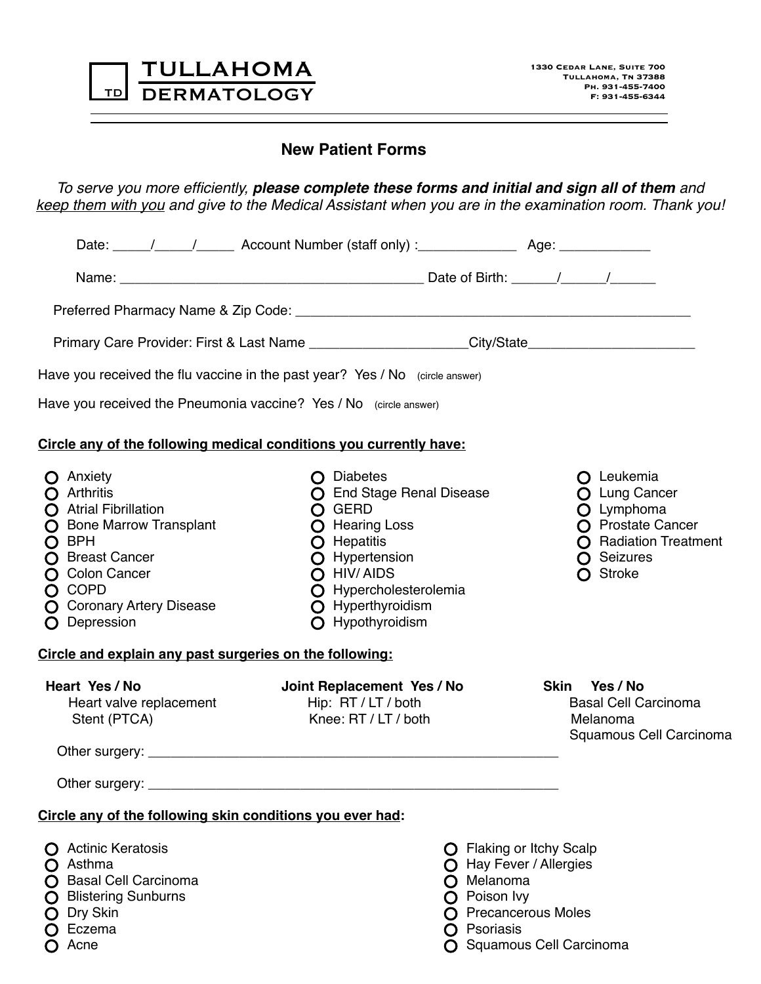| TULLAHOMA             |
|-----------------------|
| <b>TD DERMATOLOGY</b> |

## **New Patient Forms**

*To serve you more efficiently, please complete these forms and initial and sign all of them and keep them with you and give to the Medical Assistant when you are in the examination room. Thank you!* 

| Date: \late: \late: \late: \late: \late: \late: \late: \late: \late: \late: \late: \late: \late: \late: \late: \late: \late: \late: \late: \late: \late: \late: \late: \late: \late: \late: \late: \late: \late: \late: \late:                                                                              |                                                                                                                          |
|-------------------------------------------------------------------------------------------------------------------------------------------------------------------------------------------------------------------------------------------------------------------------------------------------------------|--------------------------------------------------------------------------------------------------------------------------|
|                                                                                                                                                                                                                                                                                                             |                                                                                                                          |
|                                                                                                                                                                                                                                                                                                             |                                                                                                                          |
| Primary Care Provider: First & Last Name ______________________City/State__________________________                                                                                                                                                                                                         |                                                                                                                          |
| Have you received the flu vaccine in the past year? Yes / No (circle answer)                                                                                                                                                                                                                                |                                                                                                                          |
| Have you received the Pneumonia vaccine? Yes / No (circle answer)                                                                                                                                                                                                                                           |                                                                                                                          |
| Circle any of the following medical conditions you currently have:                                                                                                                                                                                                                                          |                                                                                                                          |
| $\bigcap$ Diabetes<br><b>O</b> End Stage Renal Disease<br>O GERD<br><b>O</b> Hearing Loss<br>O Hepatitis<br>O Hypertension<br>O HIV/AIDS<br>O Hypercholesterolemia<br>O Hyperthyroidism<br>O Hypothyroidism                                                                                                 | O Leukemia<br>O Lung Cancer<br>O Lymphoma<br>O Prostate Cancer<br><b>O</b> Radiation Treatment<br>O Seizures<br>O Stroke |
| Circle and explain any past surgeries on the following:                                                                                                                                                                                                                                                     |                                                                                                                          |
| Joint Replacement Yes / No<br>Hip: RT / LT / both<br>Knee: RT / LT / both<br>Other surgery: example and a series of the series of the series of the series of the series of the series of the series of the series of the series of the series of the series of the series of the series of the series of t | Skin Yes / No<br><b>Basal Cell Carcinoma</b><br>Melanoma<br>Squamous Cell Carcinoma                                      |
|                                                                                                                                                                                                                                                                                                             |                                                                                                                          |
| Circle any of the following skin conditions you ever had:                                                                                                                                                                                                                                                   |                                                                                                                          |
| Melanoma                                                                                                                                                                                                                                                                                                    | <b>O</b> Flaking or Itchy Scalp<br>O Hay Fever / Allergies                                                               |
|                                                                                                                                                                                                                                                                                                             |                                                                                                                          |

**O** Acne

**O** Squamous Cell Carcinoma